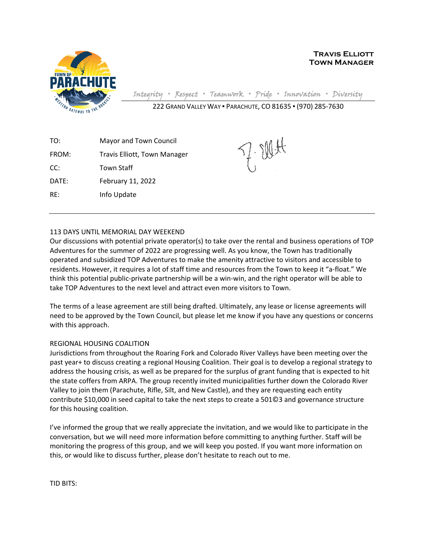

**Travis Elliott Town Manager**

Integrity **▪** Respect **▪** Teamwork **▪** Pride **▪** Innovation **▪** Diversity

222 GRAND VALLEY WAY ▪ PARACHUTE, CO 81635 ▪ (970) 285-7630

TO: Mayor and Town Council FROM: Travis Elliott, Town Manager CC: Town Staff DATE: February 11, 2022 RE: Info Update

## 113 DAYS UNTIL MEMORIAL DAY WEEKEND

Our discussions with potential private operator(s) to take over the rental and business operations of TOP Adventures for the summer of 2022 are progressing well. As you know, the Town has traditionally operated and subsidized TOP Adventures to make the amenity attractive to visitors and accessible to residents. However, it requires a lot of staff time and resources from the Town to keep it "a-float." We think this potential public-private partnership will be a win-win, and the right operator will be able to take TOP Adventures to the next level and attract even more visitors to Town.

The terms of a lease agreement are still being drafted. Ultimately, any lease or license agreements will need to be approved by the Town Council, but please let me know if you have any questions or concerns with this approach.

## REGIONAL HOUSING COALITION

Jurisdictions from throughout the Roaring Fork and Colorado River Valleys have been meeting over the past year+ to discuss creating a regional Housing Coalition. Their goal is to develop a regional strategy to address the housing crisis, as well as be prepared for the surplus of grant funding that is expected to hit the state coffers from ARPA. The group recently invited municipalities further down the Colorado River Valley to join them (Parachute, Rifle, Silt, and New Castle), and they are requesting each entity contribute \$10,000 in seed capital to take the next steps to create a 501©3 and governance structure for this housing coalition.

I've informed the group that we really appreciate the invitation, and we would like to participate in the conversation, but we will need more information before committing to anything further. Staff will be monitoring the progress of this group, and we will keep you posted. If you want more information on this, or would like to discuss further, please don't hesitate to reach out to me.

TID BITS: